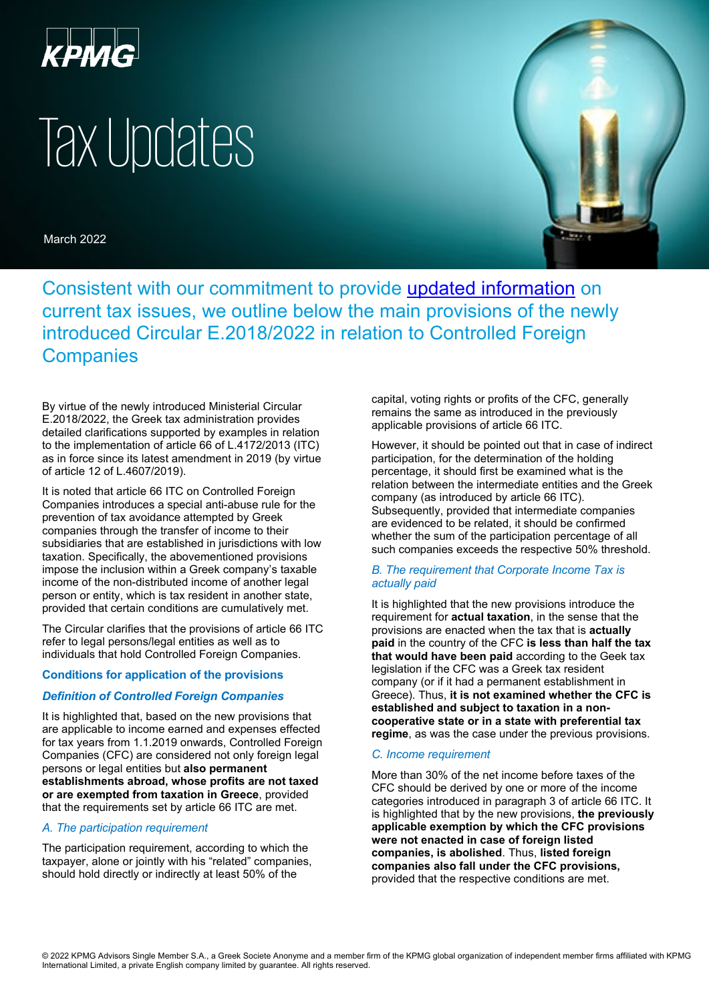

# Tax Updates

March 2022



Consistent with our commitment to provide [updated information](https://home.kpmg.com/gr/en/home/insights/2016/04/tax-news-archive.html) on current tax issues, we outline below the main provisions of the newly introduced Circular E.2018/2022 in relation to Controlled Foreign **Companies** 

By virtue of the newly introduced Ministerial Circular E.2018/2022, the Greek tax administration provides detailed clarifications supported by examples in relation to the implementation of article 66 of L.4172/2013 (ITC) as in force since its latest amendment in 2019 (by virtue of article 12 of L.4607/2019).

It is noted that article 66 ITC on Controlled Foreign Companies introduces a special anti-abuse rule for the prevention of tax avoidance attempted by Greek companies through the transfer of income to their subsidiaries that are established in jurisdictions with low taxation. Specifically, the abovementioned provisions impose the inclusion within a Greek company's taxable income of the non-distributed income of another legal person or entity, which is tax resident in another state, provided that certain conditions are cumulatively met.

The Circular clarifies that the provisions of article 66 ITC refer to legal persons/legal entities as well as to individuals that hold Controlled Foreign Companies.

## **Conditions for application of the provisions**

## *Definition of Controlled Foreign Companies*

It is highlighted that, based on the new provisions that are applicable to income earned and expenses effected for tax years from 1.1.2019 onwards, Controlled Foreign Companies (CFC) are considered not only foreign legal persons or legal entities but **also permanent establishments abroad, whose profits are not taxed or are exempted from taxation in Greece**, provided that the requirements set by article 66 ITC are met.

## *Α. The participation requirement*

The participation requirement, according to which the taxpayer, alone or jointly with his "related" companies, should hold directly or indirectly at least 50% of the

capital, voting rights οr profits of the CFC, generally remains the same as introduced in the previously applicable provisions of article 66 ITC.

However, it should be pointed out that in case of indirect participation, for the determination of the holding percentage, it should first be examined what is the relation between the intermediate entities and the Greek company (as introduced by article 66 ITC). Subsequently, provided that intermediate companies are evidenced to be related, it should be confirmed whether the sum of the participation percentage of all such companies exceeds the respective 50% threshold.

#### *B. The requirement that Corporate Income Tax is actually paid*

It is highlighted that the new provisions introduce the requirement for **actual taxation**, in the sense that the provisions are enacted when the tax that is **actually paid** in the country of the CFC **is less than half the tax that would have been paid** according to the Geek tax legislation if the CFC was a Greek tax resident company (or if it had a permanent establishment in Greece). Thus, **it is not examined whether the CFC is established and subject to taxation in a noncooperative state or in a state with preferential tax regime**, as was the case under the previous provisions.

#### *C. Income requirement*

More than 30% of the net income before taxes of the CFC should be derived by one or more of the income categories introduced in paragraph 3 of article 66 ITC. It is highlighted that by the new provisions, **the previously applicable exemption by which the CFC provisions were not enacted in case of foreign listed companies, is abolished**. Thus, **listed foreign companies also fall under the CFC provisions,**  provided that the respective conditions are met.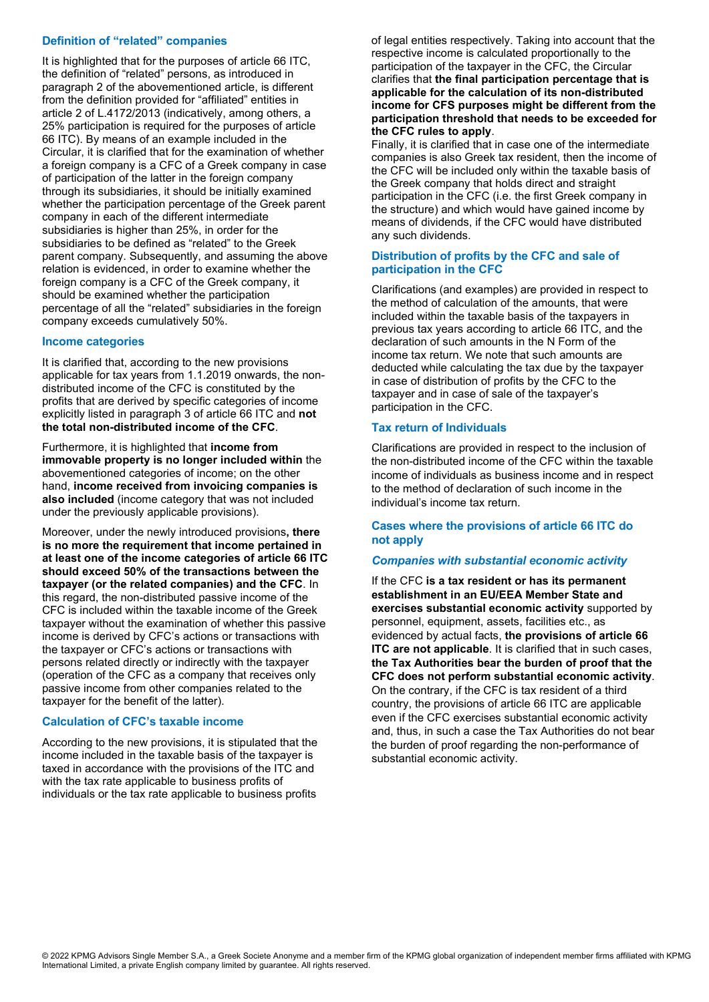## **Definition of "related" companies**

It is highlighted that for the purposes of article 66 ITC, the definition of "related" persons, as introduced in paragraph 2 of the abovementioned article, is different from the definition provided for "affiliated" entities in article 2 of L.4172/2013 (indicatively, among others, a 25% participation is required for the purposes of article 66 ITC). By means of an example included in the Circular, it is clarified that for the examination of whether a foreign company is a CFC of a Greek company in case of participation of the latter in the foreign company through its subsidiaries, it should be initially examined whether the participation percentage of the Greek parent company in each of the different intermediate subsidiaries is higher than 25%, in order for the subsidiaries to be defined as "related" to the Greek parent company. Subsequently, and assuming the above relation is evidenced, in order to examine whether the foreign company is a CFC of the Greek company, it should be examined whether the participation percentage of all the "related" subsidiaries in the foreign company exceeds cumulatively 50%.

## **Income categories**

It is clarified that, according to the new provisions applicable for tax years from 1.1.2019 onwards, the nondistributed income of the CFC is constituted by the profits that are derived by specific categories of income explicitly listed in paragraph 3 of article 66 ITC and **not the total non-distributed income of the CFC**.

Furthermore, it is highlighted that **income from immovable property is no longer included within** the abovementioned categories of income; on the other hand, **income received from invoicing companies is also included** (income category that was not included under the previously applicable provisions).

Moreover, under the newly introduced provisions**, there is no more the requirement that income pertained in at least one of the income categories of article 66 ITC should exceed 50% of the transactions between the taxpayer (or the related companies) and the CFC**. In this regard, the non-distributed passive income of the CFC is included within the taxable income of the Greek taxpayer without the examination of whether this passive income is derived by CFC's actions or transactions with the taxpayer or CFC's actions or transactions with persons related directly or indirectly with the taxpayer (operation of the CFC as a company that receives only passive income from other companies related to the taxpayer for the benefit of the latter).

# **Calculation of CFC's taxable income**

According to the new provisions, it is stipulated that the income included in the taxable basis of the taxpayer is taxed in accordance with the provisions of the ITC and with the tax rate applicable to business profits of individuals or the tax rate applicable to business profits

of legal entities respectively. Taking into account that the respective income is calculated proportionally to the participation of the taxpayer in the CFC, the Circular clarifies that **the final participation percentage that is applicable for the calculation of its non-distributed income for CFS purposes might be different from the participation threshold that needs to be exceeded for the CFC rules to apply**.

Finally, it is clarified that in case one of the intermediate companies is also Greek tax resident, then the income of the CFC will be included only within the taxable basis of the Greek company that holds direct and straight participation in the CFC (i.e. the first Greek company in the structure) and which would have gained income by means of dividends, if the CFC would have distributed any such dividends.

# **Distribution of profits by the CFC and sale of participation in the CFC**

Clarifications (and examples) are provided in respect to the method of calculation of the amounts, that were included within the taxable basis of the taxpayers in previous tax years according to article 66 ITC, and the declaration of such amounts in the N Form of the income tax return. We note that such amounts are deducted while calculating the tax due by the taxpayer in case of distribution of profits by the CFC to the taxpayer and in case of sale of the taxpayer's participation in the CFC.

## **Tax return of Individuals**

Clarifications are provided in respect to the inclusion of the non-distributed income of the CFC within the taxable income of individuals as business income and in respect to the method of declaration of such income in the individual's income tax return.

## **Cases where the provisions of article 66 ITC do not apply**

## *Companies with substantial economic activity*

If the CFC **is a tax resident or has its permanent establishment in an EU/EEA Member State and exercises substantial economic activity** supported by personnel, equipment, assets, facilities etc., as evidenced by actual facts, **the provisions of article 66 ITC are not applicable**. It is clarified that in such cases, **the Tax Authorities bear the burden of proof that the CFC does not perform substantial economic activity**. On the contrary, if the CFC is tax resident of a third country, the provisions of article 66 ITC are applicable even if the CFC exercises substantial economic activity and, thus, in such a case the Tax Authorities do not bear the burden of proof regarding the non-performance of substantial economic activity.